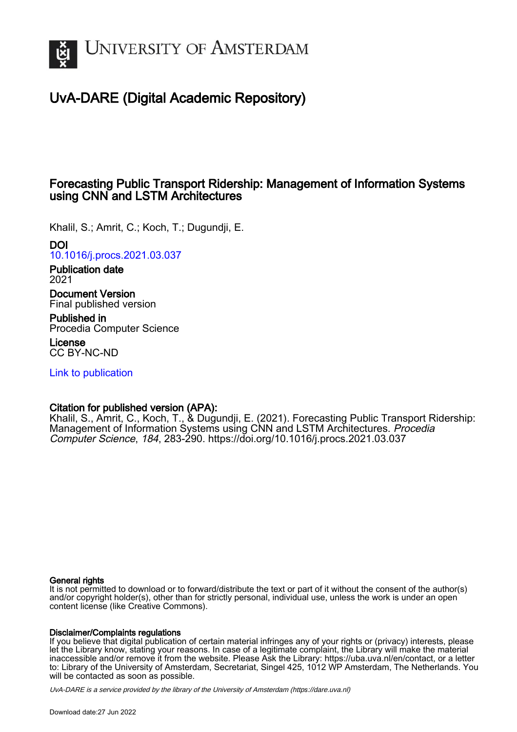

# UvA-DARE (Digital Academic Repository)

# Forecasting Public Transport Ridership: Management of Information Systems using CNN and LSTM Architectures

Khalil, S.; Amrit, C.; Koch, T.; Dugundji, E.

# DOI

[10.1016/j.procs.2021.03.037](https://doi.org/10.1016/j.procs.2021.03.037)

Publication date 2021

Document Version Final published version

Published in Procedia Computer Science

License CC BY-NC-ND

[Link to publication](https://dare.uva.nl/personal/pure/en/publications/forecasting-public-transport-ridership-management-of-information-systems-using-cnn-and-lstm-architectures(331d1edf-cce6-4226-9c7f-b30737d43596).html)

# Citation for published version (APA):

Khalil, S., Amrit, C., Koch, T., & Dugundji, E. (2021). Forecasting Public Transport Ridership: Management of Information Systems using CNN and LSTM Architectures. Procedia Computer Science, 184, 283-290. <https://doi.org/10.1016/j.procs.2021.03.037>

## General rights

It is not permitted to download or to forward/distribute the text or part of it without the consent of the author(s) and/or copyright holder(s), other than for strictly personal, individual use, unless the work is under an open content license (like Creative Commons).

## Disclaimer/Complaints regulations

If you believe that digital publication of certain material infringes any of your rights or (privacy) interests, please let the Library know, stating your reasons. In case of a legitimate complaint, the Library will make the material inaccessible and/or remove it from the website. Please Ask the Library: https://uba.uva.nl/en/contact, or a letter to: Library of the University of Amsterdam, Secretariat, Singel 425, 1012 WP Amsterdam, The Netherlands. You will be contacted as soon as possible.

UvA-DARE is a service provided by the library of the University of Amsterdam (http*s*://dare.uva.nl)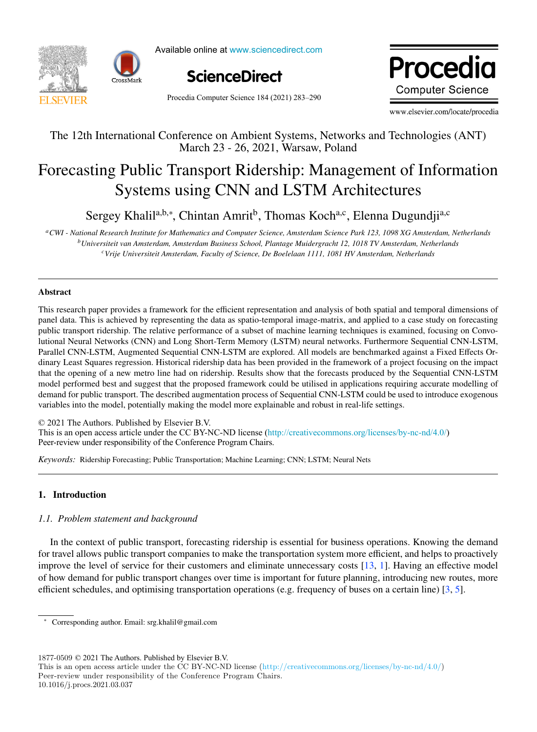



Available online at www.sciencedirect.com



Procedia Computer Science 184 (2021) 283-290

Procedia Computer Science www.elsevier.com/locate/procediate/proceding/

The 12th International Conference on Ambient Systems, Networks and Technologies (ANT) www.elsevier.com/locate/procedia

# The 12th International Conference on Ambient Systems, Networks and Technologies (ANT) March 23 - 26, 2021, Warsaw, Poland The 12th International Conference on Ambient Systems, Networks and Technologies (ANT)

# $\beta$  Public Transport Ridership: Management of  $\beta$ Systems using Civivand Lo Tivi Arennectures Forecasting Public Transport Ridership: Management of Information Forecasting Public Transport Ridership: Management of Information Systems using CNN and LSTM Architectures Systems using CNN and LSTM Architectures

Sergey Khalil<sup>a,b,\*</sup>, Chintan Amrit<sup>b</sup>, Thomas Koch<sup>a,c</sup>, Elenna Dugundji<sup>a,c</sup>

*bUniversiteit van Amsterdam, Amsterdam Business School, Plantage Muidergracht 12, 1018 TV Amsterdam, Netherlands cVrije Universiteit Amsterdam, Faculty of Science, De Boelelaan 1111, 1081 HV Amsterdam, Netherlands aCWI - National Research Institute for Mathematics and Computer Science, Amsterdam Science Park 123, 1098 XG Amsterdam, Netherlands* a CWI - National Research Institute for Mathematics and Computer Science, Amsterdam Science Park 123, 1098 XG Amsterdam, Netherlands <sup>b</sup>Universiteit van Amsterdam, Amsterdam Business School, Plantage Muidergracht 12, 1018 TV Amsterdam, Netherlands *cVrije Universiteit Amsterdam, Faculty of Science, De Boelelaan 1111, 1081 HV Amsterdam, Netherlands*

#### Abstract  $\Lambda$ bstract $\eta$ Abstract Abstract

me and the state of the state of the state of the state of the state of the state of the state of the state of public transport ridership. The relative performance of a subset of machine learning techniques is examined, focusing on Convopanel data. This is achieved by representing the data as spatio-temporal image-matrix, and applied to a case study on forecasting public transport ridership. The relative performance of a subset of machine learning techniques is examined, focusing on Convodinary Least Stuares regions regional ridership data has been provided in the framework. Furthermore sequential Civitation, Parallel CNN-LSTM, Augmented Sequential CNN-LSTM are explored. All models are benchmarked against a Fixed Effects Ordinary Least Squares regression. Historical ridership data has been provided in the framework of a project focusing on the impact demand the opening of a new metro fine had on nuership. Results show that the forecasts produced by the sequential CNN-LSTM. that the opening of a flew metro the had on intersing. Results show that the forecasts produced by the sequential CNN-LSTM<br>model performed best and suggest that the proposed framework could be utilised in applications requ variables into the model, potentially making the model more explainable and robust in real-life settings. This research paper provides a framework for the efficient representation and analysis of both spatial and temporal dimensions of lutional Neural Networks (CNN) and Long Short-Term Memory (LSTM) neural networks. Furthermore Sequential CNN-LSTM, demand for public transport. The described augmentation process of Sequential CNN-LSTM could be used to introduce exogenous that the opening of a new metro line had on ridership. Results show that the forecasts produced by the Sequential CNN-LSTM

© 2021 The Authors. Published by Elsevier B.V.

Section 2021 The Additions. The mass article under the CC BY-NC-ND license ([http://creativecommons.org/licenses/by-nc-nd/4.0/\)](http://creativecommons.org/licenses/by-nc-nd/4.0/) Peer-review under responsibility of the Conference Program Chairs. Peer-review under responsibility of the Conference Program Chairs. Peer-review under responsibility of the Conference Program Chairs. *Keywords:* Ridership Forecasting; Public Transportation; Machine Learning; CNN; LSTM; Neural Nets This is an open access article under the CC BY-NC-ND license (http://creativecommons.org/ncenses/by-nc-nd/4.0/)

*Keywords:* Ridership Forecasting; Public Transportation; Machine Learning; CNN; LSTM; Neural Nets *Keywords:* Ridership Forecasting; Public Transportation; Machine Learning; CNN; LSTM; Neural Nets

## 1. Introduction

# 1.1. Problem statement and background

In the context of public transport, forecasting ridership is essential for business operations. Knowing the demand for travel allows public transport companies to make the transportation system more efficient, and helps to proactively improve the level of service for their customers and eliminate unnecessary costs  $[13, 1]$ . Having an effective model of how demand for public transport changes over time is important for future planning, introducing new routes, more or now definant for public transport changes over three is important for future planning, introducing new foutes, more<br>efficient schedules, and optimising transportation operations (e.g. frequency of buses on a certain lin  $\epsilon$  for the demand for public transportation operations  $(\epsilon, g)$ , fiequency of buses on a certain fine  $[\beta, \beta]$ .

 $1877-0509$   $\odot$  2021 The Authors. Published by Elsevier B.V.

10.1016/j.procs.2021.03.037

<sup>∗</sup> Corresponding author. Email: srg.khalil@gmail.com

<sup>1877-0509 © 2021</sup> The Authors. Published by Elsevier B.V.<br>This is an open access article under the CC BY-NC-ND license (http://creativecommons.org/licenses/by-nc-nd/4.0/) Peer-review under responsibility of the Conference Program Chairs. I ms is an open access article under the CC BY-NC-ND ficens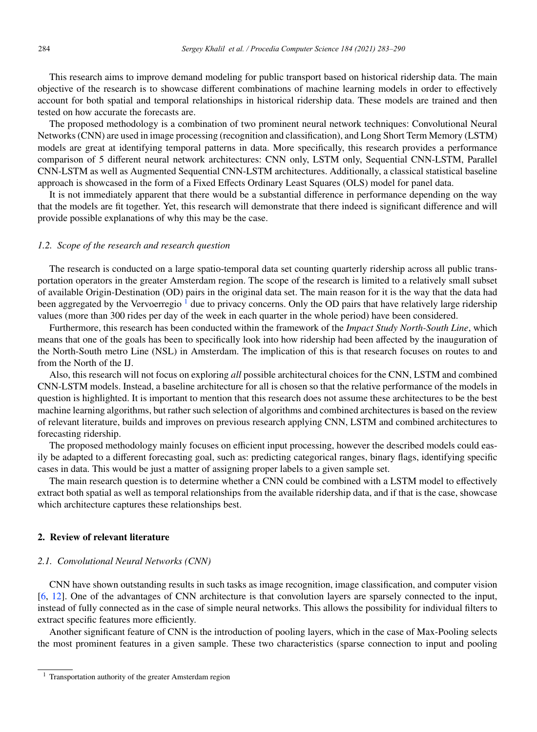This research aims to improve demand modeling for public transport based on historical ridership data. The main objective of the research is to showcase different combinations of machine learning models in order to effectively account for both spatial and temporal relationships in historical ridership data. These models are trained and then tested on how accurate the forecasts are.

The proposed methodology is a combination of two prominent neural network techniques: Convolutional Neural Networks (CNN) are used in image processing (recognition and classification), and Long Short Term Memory (LSTM) models are great at identifying temporal patterns in data. More specifically, this research provides a performance comparison of 5 different neural network architectures: CNN only, LSTM only, Sequential CNN-LSTM, Parallel CNN-LSTM as well as Augmented Sequential CNN-LSTM architectures. Additionally, a classical statistical baseline approach is showcased in the form of a Fixed Effects Ordinary Least Squares (OLS) model for panel data.

It is not immediately apparent that there would be a substantial difference in performance depending on the way that the models are fit together. Yet, this research will demonstrate that there indeed is significant difference and will provide possible explanations of why this may be the case.

#### *1.2. Scope of the research and research question*

The research is conducted on a large spatio-temporal data set counting quarterly ridership across all public transportation operators in the greater Amsterdam region. The scope of the research is limited to a relatively small subset of available Origin-Destination (OD) pairs in the original data set. The main reason for it is the way that the data had been aggregated by the Vervoerregio  $\frac{1}{2}$  due to privacy concerns. Only the OD pairs that have relatively large ridership values (more than 300 rides per day of the week in each quarter in the whole period) have been considered.

Furthermore, this research has been conducted within the framework of the *Impact Study North-South Line*, which means that one of the goals has been to specifically look into how ridership had been affected by the inauguration of the North-South metro Line (NSL) in Amsterdam. The implication of this is that research focuses on routes to and from the North of the IJ.

Also, this research will not focus on exploring *all* possible architectural choices for the CNN, LSTM and combined CNN-LSTM models. Instead, a baseline architecture for all is chosen so that the relative performance of the models in question is highlighted. It is important to mention that this research does not assume these architectures to be the best machine learning algorithms, but rather such selection of algorithms and combined architectures is based on the review of relevant literature, builds and improves on previous research applying CNN, LSTM and combined architectures to forecasting ridership.

The proposed methodology mainly focuses on efficient input processing, however the described models could easily be adapted to a different forecasting goal, such as: predicting categorical ranges, binary flags, identifying specific cases in data. This would be just a matter of assigning proper labels to a given sample set.

The main research question is to determine whether a CNN could be combined with a LSTM model to effectively extract both spatial as well as temporal relationships from the available ridership data, and if that is the case, showcase which architecture captures these relationships best.

#### 2. Review of relevant literature

#### *2.1. Convolutional Neural Networks (CNN)*

CNN have shown outstanding results in such tasks as image recognition, image classification, and computer vision [6, 12]. One of the advantages of CNN architecture is that convolution layers are sparsely connected to the input, instead of fully connected as in the case of simple neural networks. This allows the possibility for individual filters to extract specific features more efficiently.

Another significant feature of CNN is the introduction of pooling layers, which in the case of Max-Pooling selects the most prominent features in a given sample. These two characteristics (sparse connection to input and pooling

<sup>1</sup> Transportation authority of the greater Amsterdam region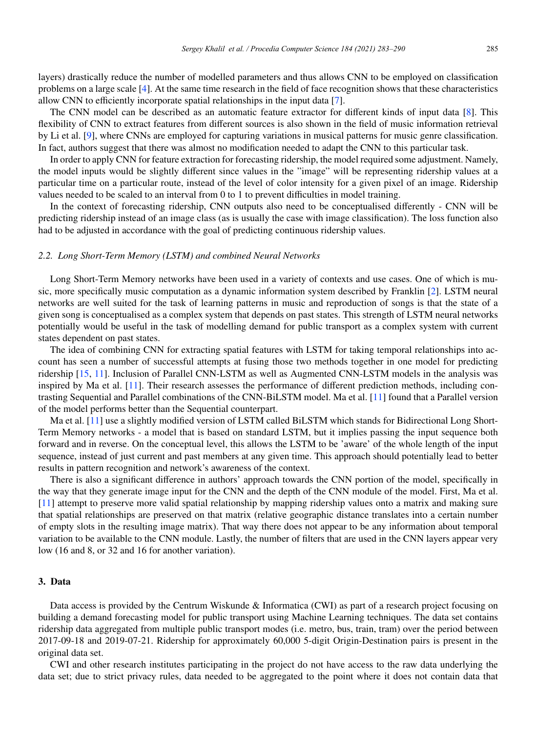layers) drastically reduce the number of modelled parameters and thus allows CNN to be employed on classification problems on a large scale [4]. At the same time research in the field of face recognition shows that these characteristics allow CNN to efficiently incorporate spatial relationships in the input data [7].

The CNN model can be described as an automatic feature extractor for different kinds of input data [8]. This flexibility of CNN to extract features from different sources is also shown in the field of music information retrieval by Li et al. [9], where CNNs are employed for capturing variations in musical patterns for music genre classification. In fact, authors suggest that there was almost no modification needed to adapt the CNN to this particular task.

In order to apply CNN for feature extraction for forecasting ridership, the model required some adjustment. Namely, the model inputs would be slightly different since values in the "image" will be representing ridership values at a particular time on a particular route, instead of the level of color intensity for a given pixel of an image. Ridership values needed to be scaled to an interval from 0 to 1 to prevent difficulties in model training.

In the context of forecasting ridership, CNN outputs also need to be conceptualised differently - CNN will be predicting ridership instead of an image class (as is usually the case with image classification). The loss function also had to be adjusted in accordance with the goal of predicting continuous ridership values.

#### *2.2. Long Short-Term Memory (LSTM) and combined Neural Networks*

Long Short-Term Memory networks have been used in a variety of contexts and use cases. One of which is music, more specifically music computation as a dynamic information system described by Franklin [2]. LSTM neural networks are well suited for the task of learning patterns in music and reproduction of songs is that the state of a given song is conceptualised as a complex system that depends on past states. This strength of LSTM neural networks potentially would be useful in the task of modelling demand for public transport as a complex system with current states dependent on past states.

The idea of combining CNN for extracting spatial features with LSTM for taking temporal relationships into account has seen a number of successful attempts at fusing those two methods together in one model for predicting ridership [15, 11]. Inclusion of Parallel CNN-LSTM as well as Augmented CNN-LSTM models in the analysis was inspired by Ma et al. [11]. Their research assesses the performance of different prediction methods, including contrasting Sequential and Parallel combinations of the CNN-BiLSTM model. Ma et al. [11] found that a Parallel version of the model performs better than the Sequential counterpart.

Ma et al. [11] use a slightly modified version of LSTM called BiLSTM which stands for Bidirectional Long Short-Term Memory networks - a model that is based on standard LSTM, but it implies passing the input sequence both forward and in reverse. On the conceptual level, this allows the LSTM to be 'aware' of the whole length of the input sequence, instead of just current and past members at any given time. This approach should potentially lead to better results in pattern recognition and network's awareness of the context.

There is also a significant difference in authors' approach towards the CNN portion of the model, specifically in the way that they generate image input for the CNN and the depth of the CNN module of the model. First, Ma et al. [11] attempt to preserve more valid spatial relationship by mapping ridership values onto a matrix and making sure that spatial relationships are preserved on that matrix (relative geographic distance translates into a certain number of empty slots in the resulting image matrix). That way there does not appear to be any information about temporal variation to be available to the CNN module. Lastly, the number of filters that are used in the CNN layers appear very low (16 and 8, or 32 and 16 for another variation).

#### 3. Data

Data access is provided by the Centrum Wiskunde & Informatica (CWI) as part of a research project focusing on building a demand forecasting model for public transport using Machine Learning techniques. The data set contains ridership data aggregated from multiple public transport modes (i.e. metro, bus, train, tram) over the period between 2017-09-18 and 2019-07-21. Ridership for approximately 60,000 5-digit Origin-Destination pairs is present in the original data set.

CWI and other research institutes participating in the project do not have access to the raw data underlying the data set; due to strict privacy rules, data needed to be aggregated to the point where it does not contain data that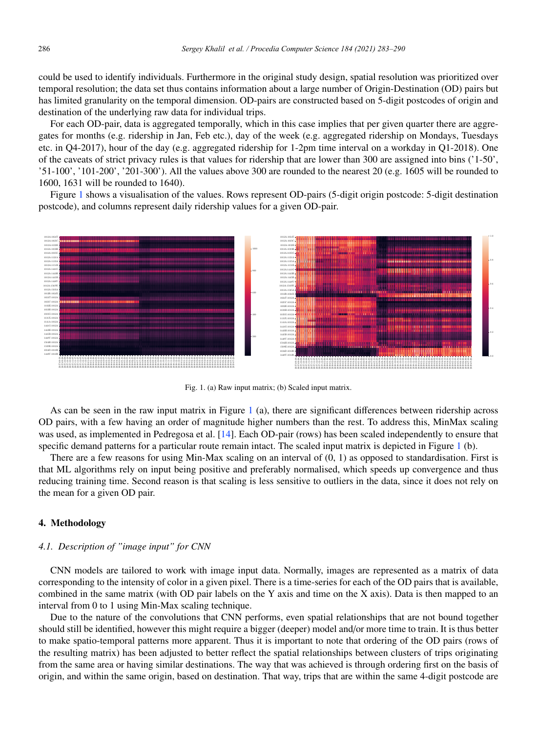could be used to identify individuals. Furthermore in the original study design, spatial resolution was prioritized over temporal resolution; the data set thus contains information about a large number of Origin-Destination (OD) pairs but has limited granularity on the temporal dimension. OD-pairs are constructed based on 5-digit postcodes of origin and destination of the underlying raw data for individual trips.

For each OD-pair, data is aggregated temporally, which in this case implies that per given quarter there are aggregates for months (e.g. ridership in Jan, Feb etc.), day of the week (e.g. aggregated ridership on Mondays, Tuesdays etc. in Q4-2017), hour of the day (e.g. aggregated ridership for 1-2pm time interval on a workday in Q1-2018). One of the caveats of strict privacy rules is that values for ridership that are lower than 300 are assigned into bins ('1-50', '51-100', '101-200', '201-300'). All the values above 300 are rounded to the nearest 20 (e.g. 1605 will be rounded to 1600, 1631 will be rounded to 1640).

Figure 1 shows a visualisation of the values. Rows represent OD-pairs (5-digit origin postcode: 5-digit destination postcode), and columns represent daily ridership values for a given OD-pair.



Fig. 1. (a) Raw input matrix; (b) Scaled input matrix.

As can be seen in the raw input matrix in Figure 1 (a), there are significant differences between ridership across OD pairs, with a few having an order of magnitude higher numbers than the rest. To address this, MinMax scaling was used, as implemented in Pedregosa et al. [14]. Each OD-pair (rows) has been scaled independently to ensure that specific demand patterns for a particular route remain intact. The scaled input matrix is depicted in Figure 1 (b).

There are a few reasons for using Min-Max scaling on an interval of  $(0, 1)$  as opposed to standardisation. First is that ML algorithms rely on input being positive and preferably normalised, which speeds up convergence and thus reducing training time. Second reason is that scaling is less sensitive to outliers in the data, since it does not rely on the mean for a given OD pair.

### 4. Methodology

#### *4.1. Description of "image input" for CNN*

CNN models are tailored to work with image input data. Normally, images are represented as a matrix of data corresponding to the intensity of color in a given pixel. There is a time-series for each of the OD pairs that is available, combined in the same matrix (with OD pair labels on the Y axis and time on the X axis). Data is then mapped to an interval from 0 to 1 using Min-Max scaling technique.

Due to the nature of the convolutions that CNN performs, even spatial relationships that are not bound together should still be identified, however this might require a bigger (deeper) model and/or more time to train. It is thus better to make spatio-temporal patterns more apparent. Thus it is important to note that ordering of the OD pairs (rows of the resulting matrix) has been adjusted to better reflect the spatial relationships between clusters of trips originating from the same area or having similar destinations. The way that was achieved is through ordering first on the basis of origin, and within the same origin, based on destination. That way, trips that are within the same 4-digit postcode are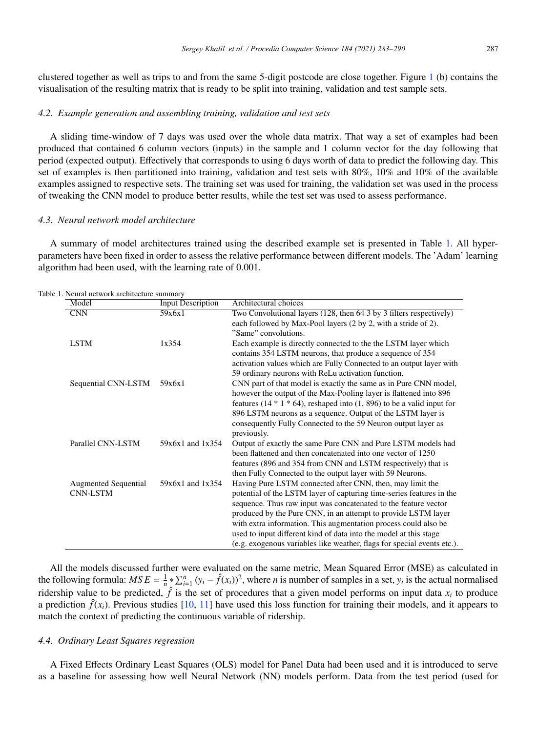clustered together as well as trips to and from the same 5-digit postcode are close together. Figure 1 (b) contains the visualisation of the resulting matrix that is ready to be split into training, validation and test sample sets.

#### *4.2. Example generation and assembling training, validation and test sets*

A sliding time-window of 7 days was used over the whole data matrix. That way a set of examples had been produced that contained 6 column vectors (inputs) in the sample and 1 column vector for the day following that period (expected output). Effectively that corresponds to using 6 days worth of data to predict the following day. This set of examples is then partitioned into training, validation and test sets with 80%, 10% and 10% of the available examples assigned to respective sets. The training set was used for training, the validation set was used in the process of tweaking the CNN model to produce better results, while the test set was used to assess performance.

#### *4.3. Neural network model architecture*

A summary of model architectures trained using the described example set is presented in Table 1. All hyperparameters have been fixed in order to assess the relative performance between different models. The 'Adam' learning algorithm had been used, with the learning rate of 0.001.

| Model                       | <b>Input Description</b> | Architectural choices                                                      |
|-----------------------------|--------------------------|----------------------------------------------------------------------------|
| <b>CNN</b>                  | 59x6x1                   | Two Convolutional layers (128, then 64 3 by 3 filters respectively)        |
|                             |                          | each followed by Max-Pool layers (2 by 2, with a stride of 2).             |
|                             |                          | "Same" convolutions.                                                       |
| <b>LSTM</b>                 | 1x354                    | Each example is directly connected to the the LSTM layer which             |
|                             |                          | contains 354 LSTM neurons, that produce a sequence of 354                  |
|                             |                          | activation values which are Fully Connected to an output layer with        |
|                             |                          | 59 ordinary neurons with ReLu activation function.                         |
| Sequential CNN-LSTM         | 59x6x1                   | CNN part of that model is exactly the same as in Pure CNN model,           |
|                             |                          | however the output of the Max-Pooling layer is flattened into 896          |
|                             |                          | features (14 $*$ 1 $*$ 64), reshaped into (1, 896) to be a valid input for |
|                             |                          | 896 LSTM neurons as a sequence. Output of the LSTM layer is                |
|                             |                          | consequently Fully Connected to the 59 Neuron output layer as              |
|                             |                          | previously.                                                                |
| Parallel CNN-LSTM           | 59x6x1 and 1x354         | Output of exactly the same Pure CNN and Pure LSTM models had               |
|                             |                          | been flattened and then concatenated into one vector of 1250               |
|                             |                          | features (896 and 354 from CNN and LSTM respectively) that is              |
|                             |                          | then Fully Connected to the output layer with 59 Neurons.                  |
| <b>Augmented Sequential</b> | 59x6x1 and 1x354         | Having Pure LSTM connected after CNN, then, may limit the                  |
| <b>CNN-LSTM</b>             |                          | potential of the LSTM layer of capturing time-series features in the       |
|                             |                          | sequence. Thus raw input was concatenated to the feature vector            |
|                             |                          | produced by the Pure CNN, in an attempt to provide LSTM layer              |
|                             |                          | with extra information. This augmentation process could also be            |
|                             |                          | used to input different kind of data into the model at this stage          |
|                             |                          | (e.g. exogenous variables like weather, flags for special events etc.).    |

|  | Table 1. Neural network architecture summary |  |
|--|----------------------------------------------|--|
|--|----------------------------------------------|--|

All the models discussed further were evaluated on the same metric, Mean Squared Error (MSE) as calculated in the following formula:  $MSE = \frac{1}{n} * \sum_{i=1}^{n} (y_i - \hat{f}(x_i))^2$ , where *n* is number of samples in a set,  $y_i$  is the actual normalised ridership value to be predicted,  $\hat{f}$  is the set of procedures that a given model performs on input data  $x_i$  to produce a prediction  $\hat{f}(x_i)$ . Previous studies [10, 11] have used this loss function for training their models, and it appears to match the context of predicting the continuous variable of ridership.

#### *4.4. Ordinary Least Squares regression*

A Fixed Effects Ordinary Least Squares (OLS) model for Panel Data had been used and it is introduced to serve as a baseline for assessing how well Neural Network (NN) models perform. Data from the test period (used for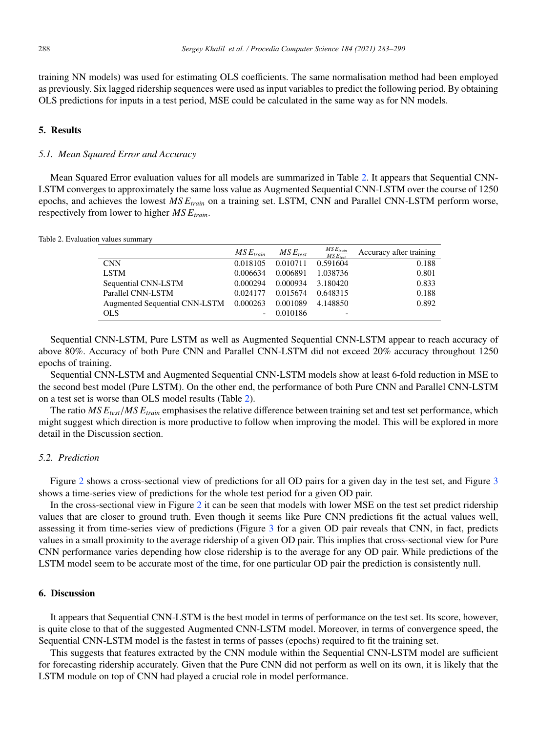training NN models) was used for estimating OLS coefficients. The same normalisation method had been employed as previously. Six lagged ridership sequences were used as input variables to predict the following period. By obtaining OLS predictions for inputs in a test period, MSE could be calculated in the same way as for NN models.

### 5. Results

### *5.1. Mean Squared Error and Accuracy*

Mean Squared Error evaluation values for all models are summarized in Table 2. It appears that Sequential CNN-LSTM converges to approximately the same loss value as Augmented Sequential CNN-LSTM over the course of 1250 epochs, and achieves the lowest *MS Etrain* on a training set. LSTM, CNN and Parallel CNN-LSTM perform worse, respectively from lower to higher  $MSE_{train}$ .

| Table 2. Evaluation values summary |  |
|------------------------------------|--|
|------------------------------------|--|

|                                        | $MSE_{train}$ | $MSE_{test}$ | $\frac{MSE_{train}}{MSE_{test}}$ | Accuracy after training |
|----------------------------------------|---------------|--------------|----------------------------------|-------------------------|
| <b>CNN</b>                             | 0.018105      | 0.010711     | 0.591604                         | 0.188                   |
| <b>LSTM</b>                            | 0.006634      | 0.006891     | 1.038736                         | 0.801                   |
| Sequential CNN-LSTM                    | 0.000294      | 0.000934     | 3.180420                         | 0.833                   |
| Parallel CNN-LSTM                      | 0.024177      | 0.015674     | 0.648315                         | 0.188                   |
| Augmented Sequential CNN-LSTM 0.000263 |               | 0.001089     | 4.148850                         | 0.892                   |
| <b>OLS</b>                             |               | 0.010186     | $\overline{\phantom{0}}$         |                         |

Sequential CNN-LSTM, Pure LSTM as well as Augmented Sequential CNN-LSTM appear to reach accuracy of above 80%. Accuracy of both Pure CNN and Parallel CNN-LSTM did not exceed 20% accuracy throughout 1250 epochs of training.

Sequential CNN-LSTM and Augmented Sequential CNN-LSTM models show at least 6-fold reduction in MSE to the second best model (Pure LSTM). On the other end, the performance of both Pure CNN and Parallel CNN-LSTM on a test set is worse than OLS model results (Table 2).

The ratio *MS E<sub>test</sub>*/*MS E<sub>train</sub>* emphasises the relative difference between training set and test set performance, which might suggest which direction is more productive to follow when improving the model. This will be explored in more detail in the Discussion section.

#### *5.2. Prediction*

Figure 2 shows a cross-sectional view of predictions for all OD pairs for a given day in the test set, and Figure 3 shows a time-series view of predictions for the whole test period for a given OD pair.

In the cross-sectional view in Figure 2 it can be seen that models with lower MSE on the test set predict ridership values that are closer to ground truth. Even though it seems like Pure CNN predictions fit the actual values well, assessing it from time-series view of predictions (Figure 3 for a given OD pair reveals that CNN, in fact, predicts values in a small proximity to the average ridership of a given OD pair. This implies that cross-sectional view for Pure CNN performance varies depending how close ridership is to the average for any OD pair. While predictions of the LSTM model seem to be accurate most of the time, for one particular OD pair the prediction is consistently null.

### 6. Discussion

It appears that Sequential CNN-LSTM is the best model in terms of performance on the test set. Its score, however, is quite close to that of the suggested Augmented CNN-LSTM model. Moreover, in terms of convergence speed, the Sequential CNN-LSTM model is the fastest in terms of passes (epochs) required to fit the training set.

This suggests that features extracted by the CNN module within the Sequential CNN-LSTM model are sufficient for forecasting ridership accurately. Given that the Pure CNN did not perform as well on its own, it is likely that the LSTM module on top of CNN had played a crucial role in model performance.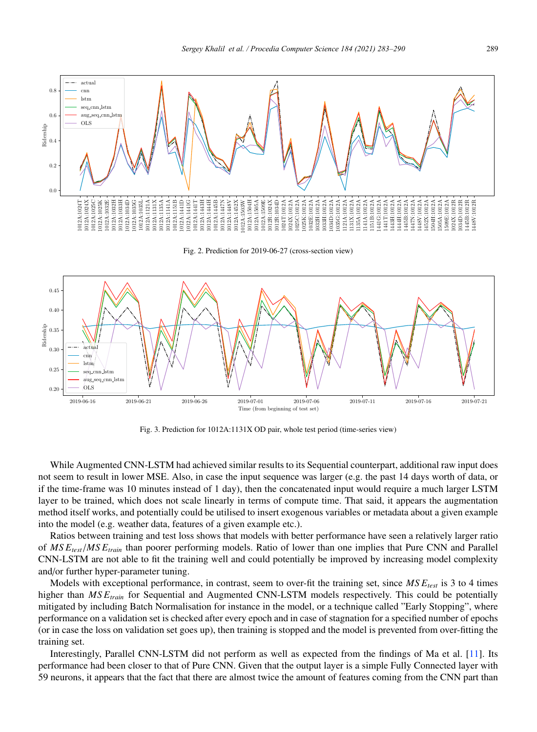

Fig. 2. Prediction for 2019-06-27 (cross-section view)



Fig. 3. Prediction for 1012A:1131X OD pair, whole test period (time-series view)

While Augmented CNN-LSTM had achieved similar results to its Sequential counterpart, additional raw input does not seem to result in lower MSE. Also, in case the input sequence was larger (e.g. the past 14 days worth of data, or if the time-frame was 10 minutes instead of 1 day), then the concatenated input would require a much larger LSTM layer to be trained, which does not scale linearly in terms of compute time. That said, it appears the augmentation method itself works, and potentially could be utilised to insert exogenous variables or metadata about a given example into the model (e.g. weather data, features of a given example etc.).

Ratios between training and test loss shows that models with better performance have seen a relatively larger ratio of *MS Etest*/*MS Etrain* than poorer performing models. Ratio of lower than one implies that Pure CNN and Parallel CNN-LSTM are not able to fit the training well and could potentially be improved by increasing model complexity and/or further hyper-parameter tuning.

Models with exceptional performance, in contrast, seem to over-fit the training set, since  $MSE_{test}$  is 3 to 4 times higher than *MS Etrain* for Sequential and Augmented CNN-LSTM models respectively. This could be potentially mitigated by including Batch Normalisation for instance in the model, or a technique called "Early Stopping", where performance on a validation set is checked after every epoch and in case of stagnation for a specified number of epochs (or in case the loss on validation set goes up), then training is stopped and the model is prevented from over-fitting the training set.

Interestingly, Parallel CNN-LSTM did not perform as well as expected from the findings of Ma et al. [11]. Its performance had been closer to that of Pure CNN. Given that the output layer is a simple Fully Connected layer with 59 neurons, it appears that the fact that there are almost twice the amount of features coming from the CNN part than